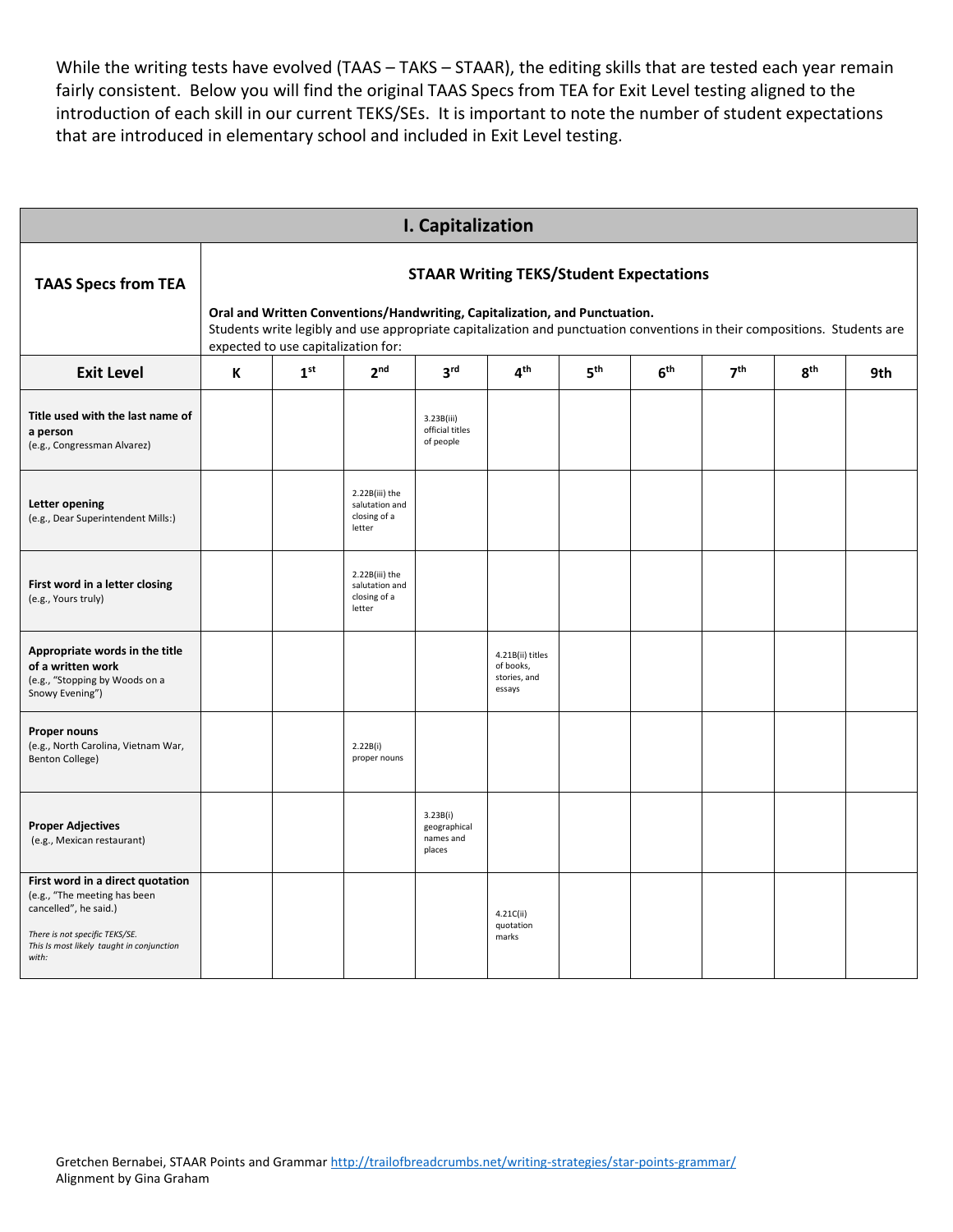While the writing tests have evolved (TAAS - TAKS - STAAR), the editing skills that are tested each year remain fairly consistent. Below you will find the original TAAS Specs from TEA for Exit Level testing aligned to the introduction of each skill in our current TEKS/SEs. It is important to note the number of student expectations that are introduced in elementary school and included in Exit Level testing.

|                                                                                                                                                                                   |   |                                                                                                                                                                                                                                                                                                                                        |                                                            | I. Capitalization                               |                                                         |                 |                 |  |                 |     |  |  |  |  |
|-----------------------------------------------------------------------------------------------------------------------------------------------------------------------------------|---|----------------------------------------------------------------------------------------------------------------------------------------------------------------------------------------------------------------------------------------------------------------------------------------------------------------------------------------|------------------------------------------------------------|-------------------------------------------------|---------------------------------------------------------|-----------------|-----------------|--|-----------------|-----|--|--|--|--|
| <b>TAAS Specs from TEA</b>                                                                                                                                                        |   | <b>STAAR Writing TEKS/Student Expectations</b><br>Oral and Written Conventions/Handwriting, Capitalization, and Punctuation.<br>Students write legibly and use appropriate capitalization and punctuation conventions in their compositions. Students are<br>expected to use capitalization for:<br>7 <sup>th</sup><br>4 <sup>th</sup> |                                                            |                                                 |                                                         |                 |                 |  |                 |     |  |  |  |  |
| <b>Exit Level</b>                                                                                                                                                                 | K | 1 <sup>st</sup>                                                                                                                                                                                                                                                                                                                        | 2 <sup>nd</sup>                                            | 3 <sup>rd</sup>                                 |                                                         | 5 <sup>th</sup> | 6 <sup>th</sup> |  | 8 <sup>th</sup> | 9th |  |  |  |  |
| Title used with the last name of<br>a person<br>(e.g., Congressman Alvarez)                                                                                                       |   |                                                                                                                                                                                                                                                                                                                                        |                                                            | 3.23B(iii)<br>official titles<br>of people      |                                                         |                 |                 |  |                 |     |  |  |  |  |
| <b>Letter opening</b><br>(e.g., Dear Superintendent Mills:)                                                                                                                       |   |                                                                                                                                                                                                                                                                                                                                        | 2.22B(iii) the<br>salutation and<br>closing of a<br>letter |                                                 |                                                         |                 |                 |  |                 |     |  |  |  |  |
| First word in a letter closing<br>(e.g., Yours truly)                                                                                                                             |   |                                                                                                                                                                                                                                                                                                                                        | 2.22B(iii) the<br>salutation and<br>closing of a<br>letter |                                                 |                                                         |                 |                 |  |                 |     |  |  |  |  |
| Appropriate words in the title<br>of a written work<br>(e.g., "Stopping by Woods on a<br>Snowy Evening")                                                                          |   |                                                                                                                                                                                                                                                                                                                                        |                                                            |                                                 | 4.21B(ii) titles<br>of books,<br>stories, and<br>essays |                 |                 |  |                 |     |  |  |  |  |
| Proper nouns<br>(e.g., North Carolina, Vietnam War,<br><b>Benton College)</b>                                                                                                     |   |                                                                                                                                                                                                                                                                                                                                        | 2.22B(i)<br>proper nouns                                   |                                                 |                                                         |                 |                 |  |                 |     |  |  |  |  |
| <b>Proper Adjectives</b><br>(e.g., Mexican restaurant)                                                                                                                            |   |                                                                                                                                                                                                                                                                                                                                        |                                                            | 3.23B(i)<br>geographical<br>names and<br>places |                                                         |                 |                 |  |                 |     |  |  |  |  |
| First word in a direct quotation<br>(e.g., "The meeting has been<br>cancelled", he said.)<br>There is not specific TEKS/SE.<br>This Is most likely taught in conjunction<br>with: |   |                                                                                                                                                                                                                                                                                                                                        |                                                            |                                                 | 4.21C(ii)<br>quotation<br>marks                         |                 |                 |  |                 |     |  |  |  |  |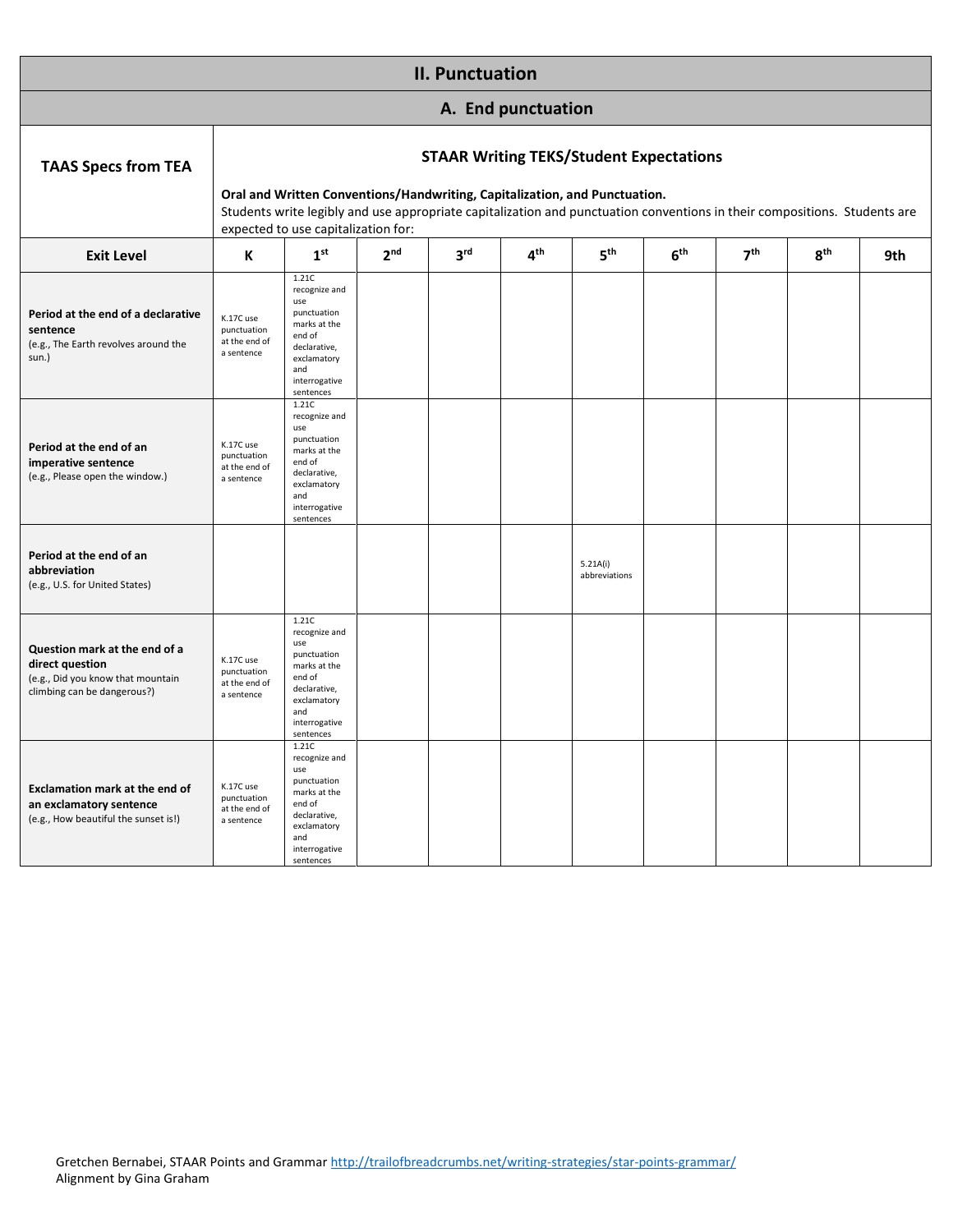|                                                                                                                      |                                                         |                                                                                                                                                                                                                                                                                                  |                 | <b>II. Punctuation</b> |                    |                           |                 |                 |                 |     |  |  |
|----------------------------------------------------------------------------------------------------------------------|---------------------------------------------------------|--------------------------------------------------------------------------------------------------------------------------------------------------------------------------------------------------------------------------------------------------------------------------------------------------|-----------------|------------------------|--------------------|---------------------------|-----------------|-----------------|-----------------|-----|--|--|
|                                                                                                                      |                                                         |                                                                                                                                                                                                                                                                                                  |                 |                        | A. End punctuation |                           |                 |                 |                 |     |  |  |
| <b>TAAS Specs from TEA</b>                                                                                           |                                                         | <b>STAAR Writing TEKS/Student Expectations</b><br>Oral and Written Conventions/Handwriting, Capitalization, and Punctuation.<br>Students write legibly and use appropriate capitalization and punctuation conventions in their compositions. Students are<br>expected to use capitalization for: |                 |                        |                    |                           |                 |                 |                 |     |  |  |
|                                                                                                                      |                                                         |                                                                                                                                                                                                                                                                                                  |                 |                        |                    |                           |                 |                 |                 |     |  |  |
| <b>Exit Level</b>                                                                                                    | К                                                       | 1 <sup>st</sup>                                                                                                                                                                                                                                                                                  | 2 <sub>nd</sub> | 3 <sup>rd</sup>        | 4 <sup>th</sup>    | 5 <sup>th</sup>           | 6 <sup>th</sup> | 7 <sup>th</sup> | 8 <sup>th</sup> | 9th |  |  |
| Period at the end of a declarative<br>sentence<br>(e.g., The Earth revolves around the<br>sun.)                      | K.17C use<br>punctuation<br>at the end of<br>a sentence | 1.21C<br>recognize and<br>use<br>punctuation<br>marks at the<br>end of<br>declarative,<br>exclamatory<br>and<br>interrogative<br>sentences                                                                                                                                                       |                 |                        |                    |                           |                 |                 |                 |     |  |  |
| Period at the end of an<br>imperative sentence<br>(e.g., Please open the window.)                                    | K.17C use<br>punctuation<br>at the end of<br>a sentence | 1.21C<br>recognize and<br>use<br>punctuation<br>marks at the<br>end of<br>declarative,<br>exclamatory<br>and<br>interrogative<br>sentences                                                                                                                                                       |                 |                        |                    |                           |                 |                 |                 |     |  |  |
| Period at the end of an<br>abbreviation<br>(e.g., U.S. for United States)                                            |                                                         |                                                                                                                                                                                                                                                                                                  |                 |                        |                    | 5.21A(i)<br>abbreviations |                 |                 |                 |     |  |  |
| Question mark at the end of a<br>direct question<br>(e.g., Did you know that mountain<br>climbing can be dangerous?) | K.17C use<br>punctuation<br>at the end of<br>a sentence | 1.21C<br>recognize and<br>use<br>punctuation<br>marks at the<br>end of<br>declarative,<br>exclamatory<br>and<br>interrogative<br>sentences                                                                                                                                                       |                 |                        |                    |                           |                 |                 |                 |     |  |  |
| <b>Exclamation mark at the end of</b><br>an exclamatory sentence<br>(e.g., How beautiful the sunset is!)             | K.17C use<br>punctuation<br>at the end of<br>a sentence | 1.21C<br>recognize and<br>use<br>punctuation<br>marks at the<br>end of<br>declarative,<br>exclamatory<br>and<br>interrogative<br>sentences                                                                                                                                                       |                 |                        |                    |                           |                 |                 |                 |     |  |  |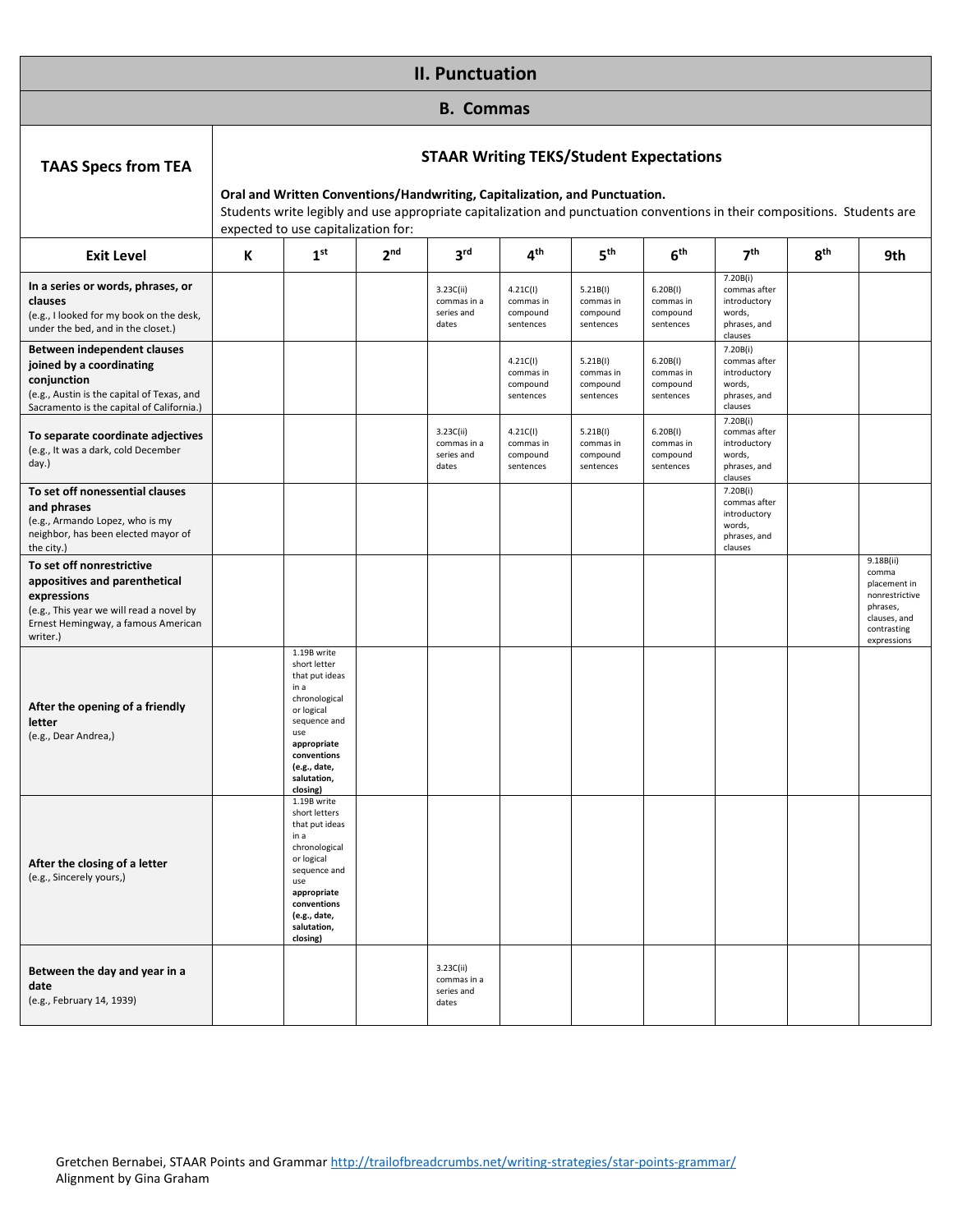|                                                                                                                                                                                                                 |   |                                                                                                                                                                                                                                                                                                  |                 | <b>II. Punctuation</b>                          |                                                                         |                                                                         |                                                                         |                                                                                                                           |                 |                                                                                                                |  |
|-----------------------------------------------------------------------------------------------------------------------------------------------------------------------------------------------------------------|---|--------------------------------------------------------------------------------------------------------------------------------------------------------------------------------------------------------------------------------------------------------------------------------------------------|-----------------|-------------------------------------------------|-------------------------------------------------------------------------|-------------------------------------------------------------------------|-------------------------------------------------------------------------|---------------------------------------------------------------------------------------------------------------------------|-----------------|----------------------------------------------------------------------------------------------------------------|--|
|                                                                                                                                                                                                                 |   |                                                                                                                                                                                                                                                                                                  |                 | <b>B.</b> Commas                                |                                                                         |                                                                         |                                                                         |                                                                                                                           |                 |                                                                                                                |  |
| <b>TAAS Specs from TEA</b>                                                                                                                                                                                      |   | <b>STAAR Writing TEKS/Student Expectations</b><br>Oral and Written Conventions/Handwriting, Capitalization, and Punctuation.<br>Students write legibly and use appropriate capitalization and punctuation conventions in their compositions. Students are<br>expected to use capitalization for: |                 |                                                 |                                                                         |                                                                         |                                                                         |                                                                                                                           |                 |                                                                                                                |  |
| <b>Exit Level</b>                                                                                                                                                                                               | К | 1 <sup>st</sup>                                                                                                                                                                                                                                                                                  | 2 <sub>nd</sub> | 3 <sup>rd</sup>                                 | 4 <sup>th</sup>                                                         | 5 <sup>th</sup>                                                         | 6 <sup>th</sup>                                                         | 7 <sup>th</sup>                                                                                                           | 8 <sup>th</sup> | 9th                                                                                                            |  |
| In a series or words, phrases, or<br>clauses<br>(e.g., I looked for my book on the desk,<br>under the bed, and in the closet.)<br><b>Between independent clauses</b><br>joined by a coordinating<br>conjunction |   |                                                                                                                                                                                                                                                                                                  |                 | 3.23C(ii)<br>commas in a<br>series and<br>dates | 4.21C(1)<br>commas in<br>compound<br>sentences<br>4.21C(1)<br>commas in | 5.21B(1)<br>commas in<br>compound<br>sentences<br>5.21B(1)<br>commas in | 6.20B(1)<br>commas in<br>compound<br>sentences<br>6.20B(1)<br>commas in | 7.20B(i)<br>commas after<br>introductory<br>words,<br>phrases, and<br>clauses<br>7.20B(i)<br>commas after<br>introductory |                 |                                                                                                                |  |
| (e.g., Austin is the capital of Texas, and<br>Sacramento is the capital of California.)                                                                                                                         |   |                                                                                                                                                                                                                                                                                                  |                 | 3.23C(ii)                                       | compound<br>sentences<br>4.21C(1)                                       | compound<br>sentences<br>5.21B(1)                                       | compound<br>sentences<br>6.20B(1)                                       | words,<br>phrases, and<br>clauses<br>7.20B(i)<br>commas after                                                             |                 |                                                                                                                |  |
| To separate coordinate adjectives<br>(e.g., It was a dark, cold December<br>day.)                                                                                                                               |   |                                                                                                                                                                                                                                                                                                  |                 | commas in a<br>series and<br>dates              | commas in<br>compound<br>sentences                                      | commas in<br>compound<br>sentences                                      | commas in<br>compound<br>sentences                                      | introductory<br>words,<br>phrases, and<br>clauses                                                                         |                 |                                                                                                                |  |
| To set off nonessential clauses<br>and phrases<br>(e.g., Armando Lopez, who is my<br>neighbor, has been elected mayor of<br>the city.)                                                                          |   |                                                                                                                                                                                                                                                                                                  |                 |                                                 |                                                                         |                                                                         |                                                                         | 7.20B(i)<br>commas after<br>introductory<br>words,<br>phrases, and<br>clauses                                             |                 |                                                                                                                |  |
| To set off nonrestrictive<br>appositives and parenthetical<br>expressions<br>(e.g., This year we will read a novel by<br>Ernest Hemingway, a famous American<br>writer.)                                        |   |                                                                                                                                                                                                                                                                                                  |                 |                                                 |                                                                         |                                                                         |                                                                         |                                                                                                                           |                 | 9.18B(ii)<br>comma<br>placement in<br>nonrestrictive<br>phrases,<br>clauses, and<br>contrasting<br>expressions |  |
| After the opening of a friendly<br>letter<br>(e.g., Dear Andrea,)                                                                                                                                               |   | 1.19B write<br>short letter<br>that put ideas<br>in a<br>chronological<br>or logical<br>sequence and<br>use<br>appropriate<br>conventions<br>(e.g., date,<br>salutation,<br>closing)                                                                                                             |                 |                                                 |                                                                         |                                                                         |                                                                         |                                                                                                                           |                 |                                                                                                                |  |
| After the closing of a letter<br>(e.g., Sincerely yours,)                                                                                                                                                       |   | 1.19B write<br>short letters<br>that put ideas<br>in a<br>chronological<br>or logical<br>sequence and<br>use<br>appropriate<br>conventions<br>(e.g., date,<br>salutation,<br>closing)                                                                                                            |                 |                                                 |                                                                         |                                                                         |                                                                         |                                                                                                                           |                 |                                                                                                                |  |
| Between the day and year in a<br>date<br>(e.g., February 14, 1939)                                                                                                                                              |   |                                                                                                                                                                                                                                                                                                  |                 | 3.23C(ii)<br>commas in a<br>series and<br>dates |                                                                         |                                                                         |                                                                         |                                                                                                                           |                 |                                                                                                                |  |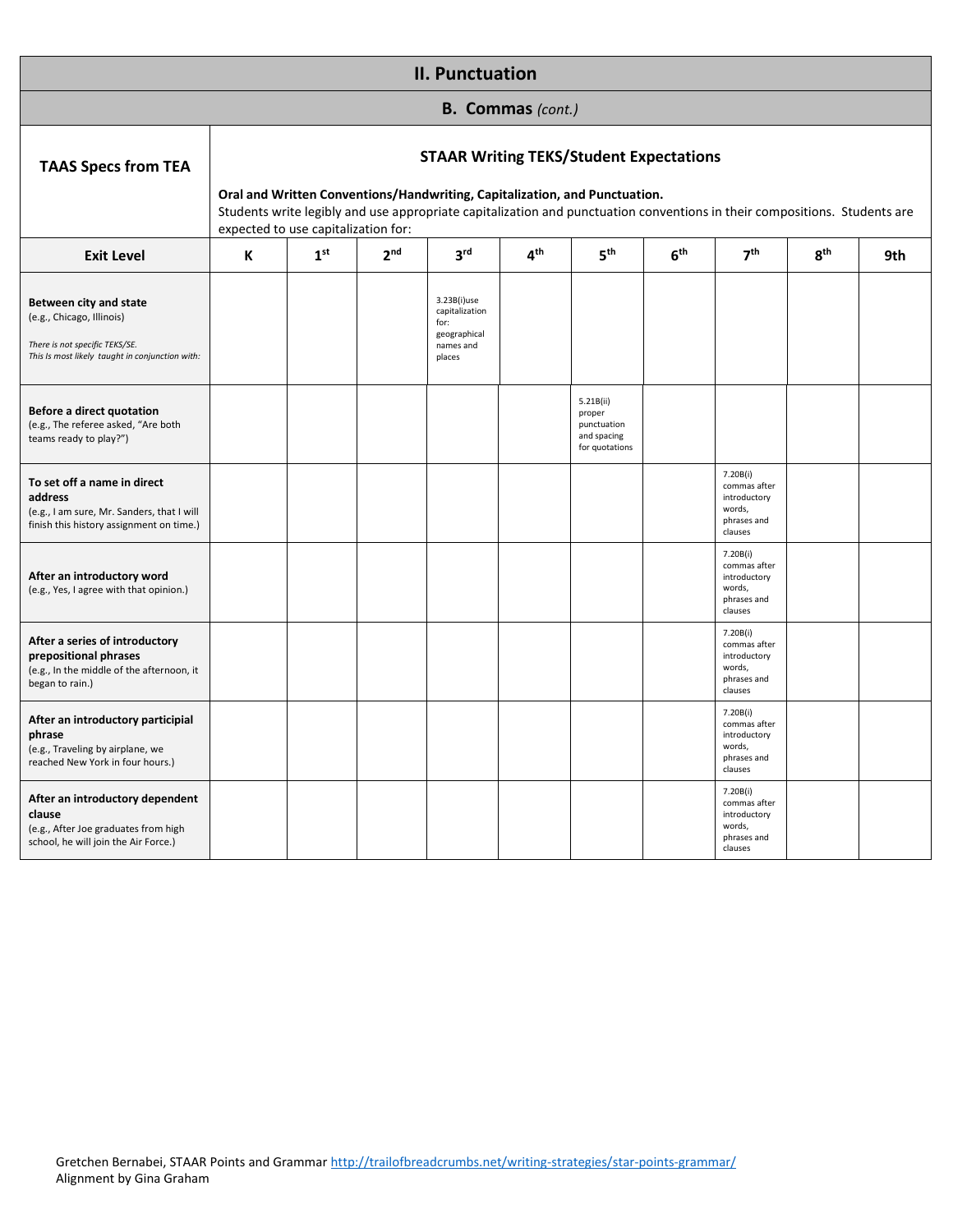|                                                                                                                                          |   |                                                        |                 | <b>II. Punctuation</b>                                                                                                                                                                                                                                    |                          |                                                                     |                 |                                                                              |                 |     |
|------------------------------------------------------------------------------------------------------------------------------------------|---|--------------------------------------------------------|-----------------|-----------------------------------------------------------------------------------------------------------------------------------------------------------------------------------------------------------------------------------------------------------|--------------------------|---------------------------------------------------------------------|-----------------|------------------------------------------------------------------------------|-----------------|-----|
|                                                                                                                                          |   |                                                        |                 |                                                                                                                                                                                                                                                           | <b>B. Commas (cont.)</b> |                                                                     |                 |                                                                              |                 |     |
| <b>TAAS Specs from TEA</b>                                                                                                               |   |                                                        |                 | <b>STAAR Writing TEKS/Student Expectations</b><br>Oral and Written Conventions/Handwriting, Capitalization, and Punctuation.<br>Students write legibly and use appropriate capitalization and punctuation conventions in their compositions. Students are |                          |                                                                     |                 |                                                                              |                 |     |
| <b>Exit Level</b>                                                                                                                        | К | expected to use capitalization for:<br>1 <sup>st</sup> | 2 <sub>nd</sub> | 3 <sup>rd</sup>                                                                                                                                                                                                                                           | 4 <sup>th</sup>          | 5 <sup>th</sup>                                                     | 6 <sup>th</sup> | 7 <sup>th</sup>                                                              | 8 <sup>th</sup> | 9th |
| Between city and state<br>(e.g., Chicago, Illinois)<br>There is not specific TEKS/SE.<br>This Is most likely taught in conjunction with: |   |                                                        |                 | 3.23B(i)use<br>capitalization<br>for:<br>geographical<br>names and<br>places                                                                                                                                                                              |                          |                                                                     |                 |                                                                              |                 |     |
| Before a direct quotation<br>(e.g., The referee asked, "Are both<br>teams ready to play?")                                               |   |                                                        |                 |                                                                                                                                                                                                                                                           |                          | 5.21B(ii)<br>proper<br>punctuation<br>and spacing<br>for quotations |                 |                                                                              |                 |     |
| To set off a name in direct<br>address<br>(e.g., I am sure, Mr. Sanders, that I will<br>finish this history assignment on time.)         |   |                                                        |                 |                                                                                                                                                                                                                                                           |                          |                                                                     |                 | 7.20B(i)<br>commas after<br>introductory<br>words,<br>phrases and<br>clauses |                 |     |
| After an introductory word<br>(e.g., Yes, I agree with that opinion.)                                                                    |   |                                                        |                 |                                                                                                                                                                                                                                                           |                          |                                                                     |                 | 7.20B(i)<br>commas after<br>introductory<br>words,<br>phrases and<br>clauses |                 |     |
| After a series of introductory<br>prepositional phrases<br>(e.g., In the middle of the afternoon, it<br>began to rain.)                  |   |                                                        |                 |                                                                                                                                                                                                                                                           |                          |                                                                     |                 | 7.20B(i)<br>commas after<br>introductory<br>words,<br>phrases and<br>clauses |                 |     |
| After an introductory participial<br>phrase<br>(e.g., Traveling by airplane, we<br>reached New York in four hours.)                      |   |                                                        |                 |                                                                                                                                                                                                                                                           |                          |                                                                     |                 | 7.20B(i)<br>commas after<br>introductory<br>words,<br>phrases and<br>clauses |                 |     |
| After an introductory dependent<br>clause<br>(e.g., After Joe graduates from high<br>school, he will join the Air Force.)                |   |                                                        |                 |                                                                                                                                                                                                                                                           |                          |                                                                     |                 | 7.20B(i)<br>commas after<br>introductory<br>words,<br>phrases and<br>clauses |                 |     |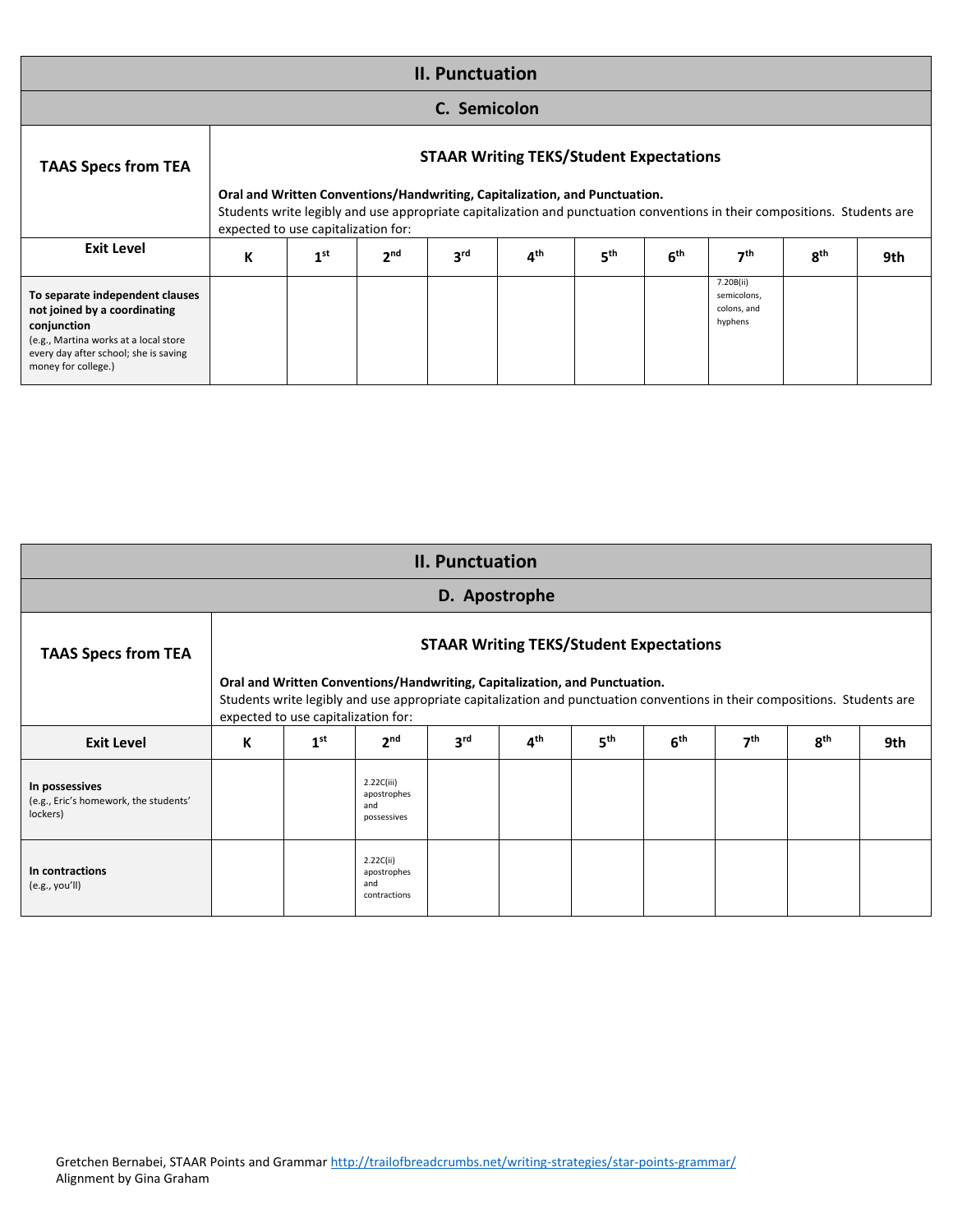| <b>II. Punctuation</b>                                                                                                                                                                  |                                     |                 |                 |                 |                                                                                                                                                                                                                                                           |                 |                 |                                                    |                 |     |  |  |  |
|-----------------------------------------------------------------------------------------------------------------------------------------------------------------------------------------|-------------------------------------|-----------------|-----------------|-----------------|-----------------------------------------------------------------------------------------------------------------------------------------------------------------------------------------------------------------------------------------------------------|-----------------|-----------------|----------------------------------------------------|-----------------|-----|--|--|--|
| C. Semicolon                                                                                                                                                                            |                                     |                 |                 |                 |                                                                                                                                                                                                                                                           |                 |                 |                                                    |                 |     |  |  |  |
| <b>TAAS Specs from TEA</b>                                                                                                                                                              | expected to use capitalization for: |                 |                 |                 | <b>STAAR Writing TEKS/Student Expectations</b><br>Oral and Written Conventions/Handwriting, Capitalization, and Punctuation.<br>Students write legibly and use appropriate capitalization and punctuation conventions in their compositions. Students are |                 |                 |                                                    |                 |     |  |  |  |
| <b>Exit Level</b>                                                                                                                                                                       | К                                   | 1 <sup>st</sup> | 2 <sup>nd</sup> | 3 <sup>rd</sup> | 4 <sup>th</sup>                                                                                                                                                                                                                                           | 5 <sup>th</sup> | 6 <sup>th</sup> | 7 <sup>th</sup>                                    | 8 <sup>th</sup> | 9th |  |  |  |
| To separate independent clauses<br>not joined by a coordinating<br>conjunction<br>(e.g., Martina works at a local store<br>every day after school; she is saving<br>money for college.) |                                     |                 |                 |                 |                                                                                                                                                                                                                                                           |                 |                 | 7.20B(ii)<br>semicolons,<br>colons, and<br>hyphens |                 |     |  |  |  |

|                                                                     |   |                                     |                                                 | <b>II. Punctuation</b>                                                     |                 |                 |                                                |                 |                                                                                                                           |     |
|---------------------------------------------------------------------|---|-------------------------------------|-------------------------------------------------|----------------------------------------------------------------------------|-----------------|-----------------|------------------------------------------------|-----------------|---------------------------------------------------------------------------------------------------------------------------|-----|
|                                                                     |   |                                     |                                                 | D. Apostrophe                                                              |                 |                 |                                                |                 |                                                                                                                           |     |
| <b>TAAS Specs from TEA</b>                                          |   | expected to use capitalization for: |                                                 | Oral and Written Conventions/Handwriting, Capitalization, and Punctuation. |                 |                 | <b>STAAR Writing TEKS/Student Expectations</b> |                 | Students write legibly and use appropriate capitalization and punctuation conventions in their compositions. Students are |     |
| <b>Exit Level</b>                                                   | К | 1 <sup>st</sup>                     | 2 <sub>nd</sub>                                 | 3 <sup>rd</sup>                                                            | 4 <sup>th</sup> | 5 <sup>th</sup> | 6 <sup>th</sup>                                | 7 <sup>th</sup> | 8 <sup>th</sup>                                                                                                           | 9th |
| In possessives<br>(e.g., Eric's homework, the students'<br>lockers) |   |                                     | 2.22C(iii)<br>apostrophes<br>and<br>possessives |                                                                            |                 |                 |                                                |                 |                                                                                                                           |     |
| In contractions<br>(e.g., you'll)                                   |   |                                     | 2.22C(ii)<br>apostrophes<br>and<br>contractions |                                                                            |                 |                 |                                                |                 |                                                                                                                           |     |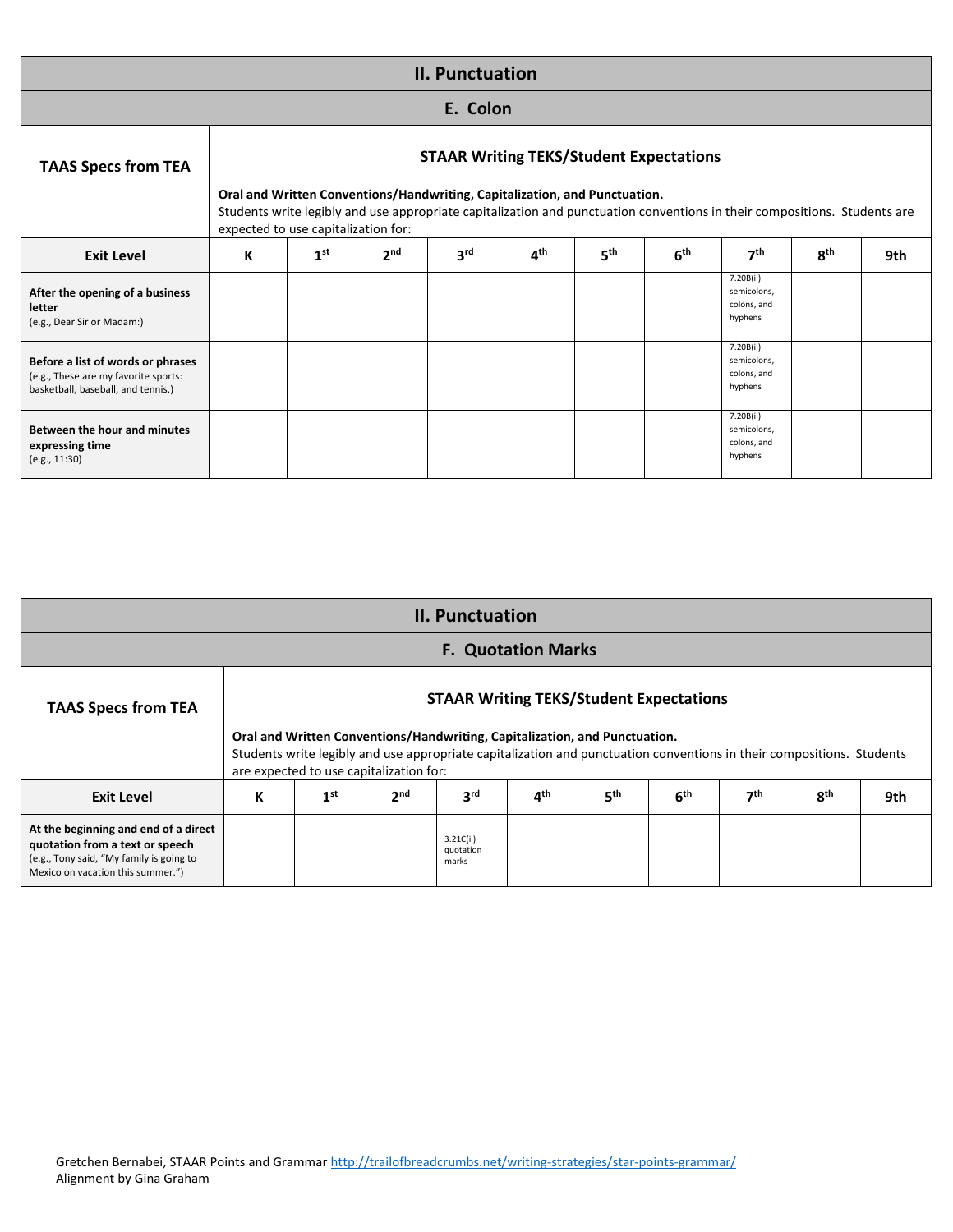|                                                                                                                 |                                     |                 |                 | <b>II. Punctuation</b>                                                                                                                                                                                                                                    |                 |                 |                 |                                                    |            |     |
|-----------------------------------------------------------------------------------------------------------------|-------------------------------------|-----------------|-----------------|-----------------------------------------------------------------------------------------------------------------------------------------------------------------------------------------------------------------------------------------------------------|-----------------|-----------------|-----------------|----------------------------------------------------|------------|-----|
|                                                                                                                 |                                     |                 |                 | E. Colon                                                                                                                                                                                                                                                  |                 |                 |                 |                                                    |            |     |
| <b>TAAS Specs from TEA</b>                                                                                      | expected to use capitalization for: |                 |                 | <b>STAAR Writing TEKS/Student Expectations</b><br>Oral and Written Conventions/Handwriting, Capitalization, and Punctuation.<br>Students write legibly and use appropriate capitalization and punctuation conventions in their compositions. Students are |                 |                 |                 |                                                    |            |     |
| <b>Exit Level</b>                                                                                               | К                                   | 1 <sup>st</sup> | 2 <sup>nd</sup> | 3rd                                                                                                                                                                                                                                                       | 4 <sup>th</sup> | 5 <sup>th</sup> | 6 <sup>th</sup> | 7 <sup>th</sup>                                    | <b>Rth</b> | 9th |
| After the opening of a business<br>letter<br>(e.g., Dear Sir or Madam:)                                         |                                     |                 |                 |                                                                                                                                                                                                                                                           |                 |                 |                 | 7.20B(ii)<br>semicolons,<br>colons, and<br>hyphens |            |     |
| Before a list of words or phrases<br>(e.g., These are my favorite sports:<br>basketball, baseball, and tennis.) |                                     |                 |                 |                                                                                                                                                                                                                                                           |                 |                 |                 | 7.20B(ii)<br>semicolons,<br>colons, and<br>hyphens |            |     |
| Between the hour and minutes<br>expressing time<br>(e.g., 11:30)                                                |                                     |                 |                 |                                                                                                                                                                                                                                                           |                 |                 |                 | 7.20B(ii)<br>semicolons,<br>colons, and<br>hyphens |            |     |

|                                                                                                                                                          |   |                                                                                                                                                                                                                                                |                 | <b>II. Punctuation</b>                         |                           |                 |                 |                 |                 |     |  |  |  |  |
|----------------------------------------------------------------------------------------------------------------------------------------------------------|---|------------------------------------------------------------------------------------------------------------------------------------------------------------------------------------------------------------------------------------------------|-----------------|------------------------------------------------|---------------------------|-----------------|-----------------|-----------------|-----------------|-----|--|--|--|--|
|                                                                                                                                                          |   |                                                                                                                                                                                                                                                |                 |                                                | <b>F. Quotation Marks</b> |                 |                 |                 |                 |     |  |  |  |  |
| <b>TAAS Specs from TEA</b>                                                                                                                               |   |                                                                                                                                                                                                                                                |                 | <b>STAAR Writing TEKS/Student Expectations</b> |                           |                 |                 |                 |                 |     |  |  |  |  |
|                                                                                                                                                          |   | Oral and Written Conventions/Handwriting, Capitalization, and Punctuation.<br>Students write legibly and use appropriate capitalization and punctuation conventions in their compositions. Students<br>are expected to use capitalization for: |                 |                                                |                           |                 |                 |                 |                 |     |  |  |  |  |
| <b>Exit Level</b>                                                                                                                                        | К | 1 <sup>st</sup>                                                                                                                                                                                                                                | 2 <sub>nd</sub> | 3 <sup>rd</sup>                                | 4 <sup>th</sup>           | 5 <sup>th</sup> | 6 <sup>th</sup> | 7 <sup>th</sup> | 8 <sup>th</sup> | 9th |  |  |  |  |
| At the beginning and end of a direct<br>quotation from a text or speech<br>(e.g., Tony said, "My family is going to<br>Mexico on vacation this summer.") |   |                                                                                                                                                                                                                                                |                 | 3.21C(ii)<br>quotation<br>marks                |                           |                 |                 |                 |                 |     |  |  |  |  |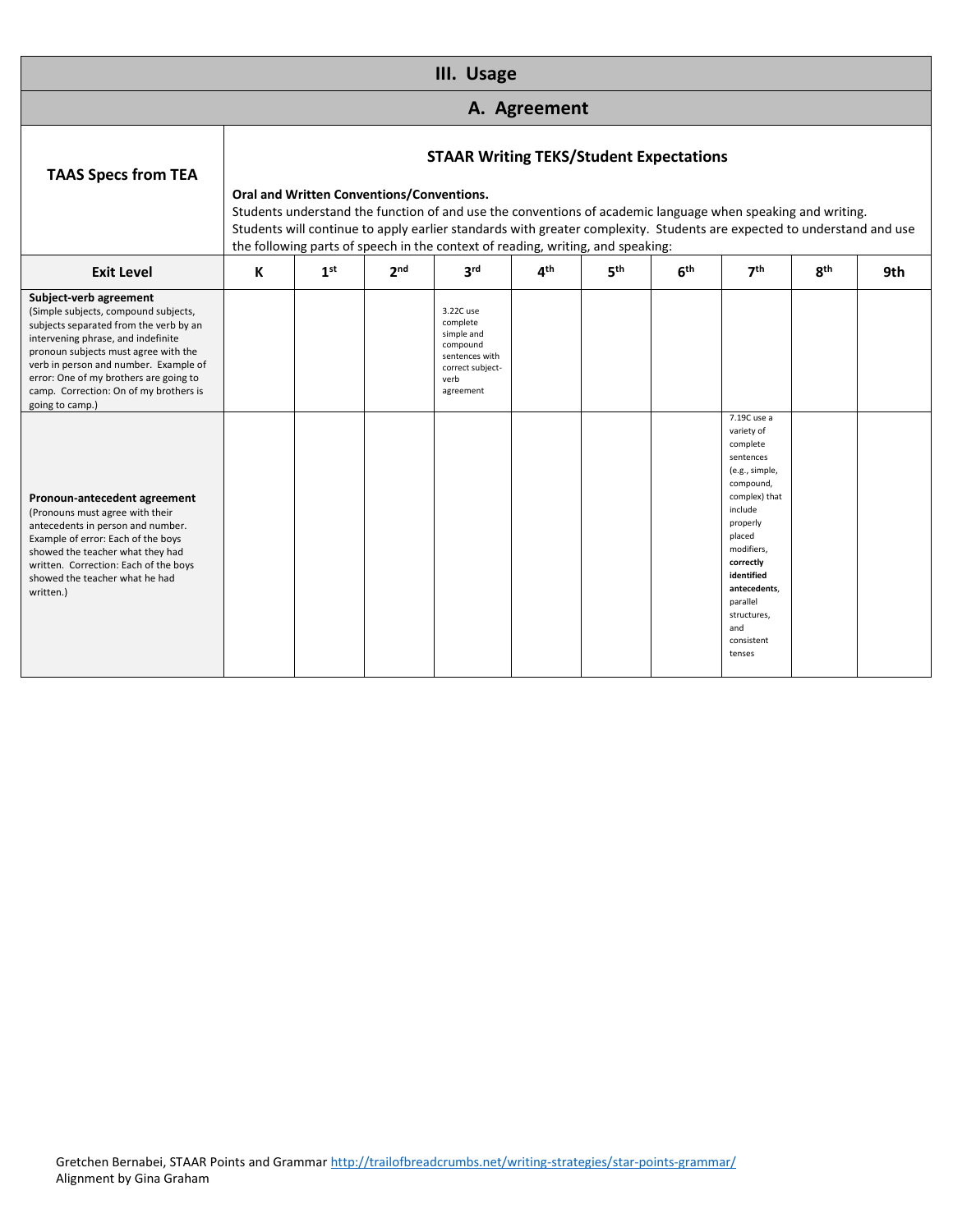|                                                                                                                                                                                                                                                                                                                                        |   |                                           |                 | III. Usage                                                                                                                                                                                                                                                                                                                                                                 |                          |                 |                 |                                                                                                                                                                                                                                                        |                 |     |
|----------------------------------------------------------------------------------------------------------------------------------------------------------------------------------------------------------------------------------------------------------------------------------------------------------------------------------------|---|-------------------------------------------|-----------------|----------------------------------------------------------------------------------------------------------------------------------------------------------------------------------------------------------------------------------------------------------------------------------------------------------------------------------------------------------------------------|--------------------------|-----------------|-----------------|--------------------------------------------------------------------------------------------------------------------------------------------------------------------------------------------------------------------------------------------------------|-----------------|-----|
|                                                                                                                                                                                                                                                                                                                                        |   |                                           |                 |                                                                                                                                                                                                                                                                                                                                                                            | A. Agreement             |                 |                 |                                                                                                                                                                                                                                                        |                 |     |
| <b>TAAS Specs from TEA</b>                                                                                                                                                                                                                                                                                                             |   | Oral and Written Conventions/Conventions. |                 | <b>STAAR Writing TEKS/Student Expectations</b><br>Students understand the function of and use the conventions of academic language when speaking and writing.<br>Students will continue to apply earlier standards with greater complexity. Students are expected to understand and use<br>the following parts of speech in the context of reading, writing, and speaking: |                          |                 |                 |                                                                                                                                                                                                                                                        |                 |     |
| <b>Exit Level</b>                                                                                                                                                                                                                                                                                                                      | К | 1 <sup>st</sup>                           | 2 <sub>nd</sub> | 3 <sup>rd</sup>                                                                                                                                                                                                                                                                                                                                                            | $\mathbf{A}^{\text{th}}$ | 5 <sup>th</sup> | 6 <sup>th</sup> | 7 <sup>th</sup>                                                                                                                                                                                                                                        | 8 <sup>th</sup> | 9th |
| Subject-verb agreement<br>(Simple subjects, compound subjects,<br>subjects separated from the verb by an<br>intervening phrase, and indefinite<br>pronoun subjects must agree with the<br>verb in person and number. Example of<br>error: One of my brothers are going to<br>camp. Correction: On of my brothers is<br>going to camp.) |   |                                           |                 | 3.22C use<br>complete<br>simple and<br>compound<br>sentences with<br>correct subject-<br>verb<br>agreement                                                                                                                                                                                                                                                                 |                          |                 |                 |                                                                                                                                                                                                                                                        |                 |     |
| Pronoun-antecedent agreement<br>(Pronouns must agree with their<br>antecedents in person and number.<br>Example of error: Each of the boys<br>showed the teacher what they had<br>written. Correction: Each of the boys<br>showed the teacher what he had<br>written.)                                                                 |   |                                           |                 |                                                                                                                                                                                                                                                                                                                                                                            |                          |                 |                 | 7.19C use a<br>variety of<br>complete<br>sentences<br>(e.g., simple,<br>compound,<br>complex) that<br>include<br>properly<br>placed<br>modifiers,<br>correctly<br>identified<br>antecedents.<br>parallel<br>structures,<br>and<br>consistent<br>tenses |                 |     |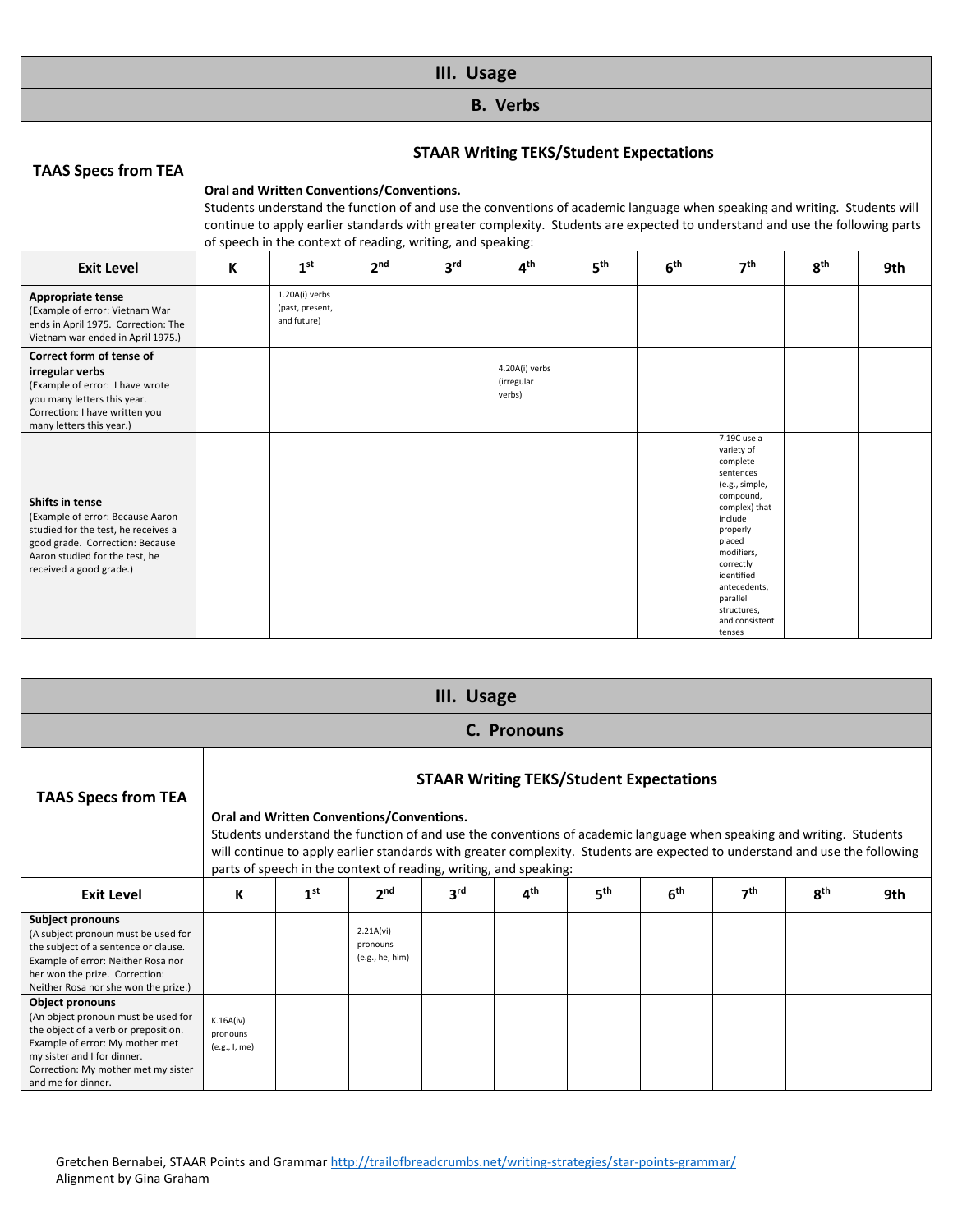|                                                                                                                                                                                                   |                                                                                                                                                                                                                                                                                                                                                                                                                                                                                                                                                                                                      |  | III. Usage |                                        |  |  |                                                                                                                                                                                                                                                     |  |  |  |  |  |  |
|---------------------------------------------------------------------------------------------------------------------------------------------------------------------------------------------------|------------------------------------------------------------------------------------------------------------------------------------------------------------------------------------------------------------------------------------------------------------------------------------------------------------------------------------------------------------------------------------------------------------------------------------------------------------------------------------------------------------------------------------------------------------------------------------------------------|--|------------|----------------------------------------|--|--|-----------------------------------------------------------------------------------------------------------------------------------------------------------------------------------------------------------------------------------------------------|--|--|--|--|--|--|
|                                                                                                                                                                                                   |                                                                                                                                                                                                                                                                                                                                                                                                                                                                                                                                                                                                      |  |            | <b>B.</b> Verbs                        |  |  |                                                                                                                                                                                                                                                     |  |  |  |  |  |  |
| <b>TAAS Specs from TEA</b>                                                                                                                                                                        | <b>STAAR Writing TEKS/Student Expectations</b><br>Oral and Written Conventions/Conventions.<br>Students understand the function of and use the conventions of academic language when speaking and writing. Students will<br>continue to apply earlier standards with greater complexity. Students are expected to understand and use the following parts<br>of speech in the context of reading, writing, and speaking:<br>3 <sup>rd</sup><br>5 <sup>th</sup><br>1 <sup>st</sup><br>2 <sub>nd</sub><br>$\mathbf{A}^{\text{th}}$<br>6 <sup>th</sup><br>7 <sup>th</sup><br>8 <sup>th</sup><br>9th<br>К |  |            |                                        |  |  |                                                                                                                                                                                                                                                     |  |  |  |  |  |  |
| <b>Exit Level</b>                                                                                                                                                                                 |                                                                                                                                                                                                                                                                                                                                                                                                                                                                                                                                                                                                      |  |            |                                        |  |  |                                                                                                                                                                                                                                                     |  |  |  |  |  |  |
| <b>Appropriate tense</b><br>(Example of error: Vietnam War<br>ends in April 1975. Correction: The<br>Vietnam war ended in April 1975.)                                                            | 1.20A(i) verbs<br>(past, present,<br>and future)                                                                                                                                                                                                                                                                                                                                                                                                                                                                                                                                                     |  |            |                                        |  |  |                                                                                                                                                                                                                                                     |  |  |  |  |  |  |
| Correct form of tense of<br>irregular verbs<br>(Example of error: I have wrote<br>you many letters this year.<br>Correction: I have written you<br>many letters this year.)                       |                                                                                                                                                                                                                                                                                                                                                                                                                                                                                                                                                                                                      |  |            | 4.20A(i) verbs<br>(irregular<br>verbs) |  |  |                                                                                                                                                                                                                                                     |  |  |  |  |  |  |
| <b>Shifts in tense</b><br>(Example of error: Because Aaron<br>studied for the test, he receives a<br>good grade. Correction: Because<br>Aaron studied for the test, he<br>received a good grade.) |                                                                                                                                                                                                                                                                                                                                                                                                                                                                                                                                                                                                      |  |            |                                        |  |  | 7.19C use a<br>variety of<br>complete<br>sentences<br>(e.g., simple,<br>compound,<br>complex) that<br>include<br>properly<br>placed<br>modifiers,<br>correctly<br>identified<br>antecedents.<br>parallel<br>structures,<br>and consistent<br>tenses |  |  |  |  |  |  |

|                                                                                                                                                                                                                                      |                                        |                 |                                                                                                                                                                                                                                                                                                                                                                       | III. Usage      |                 |                 |                                                |                 |          |     |
|--------------------------------------------------------------------------------------------------------------------------------------------------------------------------------------------------------------------------------------|----------------------------------------|-----------------|-----------------------------------------------------------------------------------------------------------------------------------------------------------------------------------------------------------------------------------------------------------------------------------------------------------------------------------------------------------------------|-----------------|-----------------|-----------------|------------------------------------------------|-----------------|----------|-----|
|                                                                                                                                                                                                                                      |                                        |                 |                                                                                                                                                                                                                                                                                                                                                                       |                 | C. Pronouns     |                 |                                                |                 |          |     |
| <b>TAAS Specs from TEA</b>                                                                                                                                                                                                           |                                        |                 |                                                                                                                                                                                                                                                                                                                                                                       |                 |                 |                 | <b>STAAR Writing TEKS/Student Expectations</b> |                 |          |     |
|                                                                                                                                                                                                                                      |                                        |                 | Oral and Written Conventions/Conventions.<br>Students understand the function of and use the conventions of academic language when speaking and writing. Students<br>will continue to apply earlier standards with greater complexity. Students are expected to understand and use the following<br>parts of speech in the context of reading, writing, and speaking: |                 |                 |                 |                                                |                 |          |     |
| <b>Exit Level</b>                                                                                                                                                                                                                    | К                                      | 1 <sup>st</sup> | 2 <sub>nd</sub>                                                                                                                                                                                                                                                                                                                                                       | 3 <sup>rd</sup> | $4^{\text{th}}$ | 5 <sup>th</sup> | 6 <sup>th</sup>                                | 7 <sup>th</sup> | $R^{th}$ | 9th |
| <b>Subject pronouns</b><br>(A subject pronoun must be used for<br>the subject of a sentence or clause.<br>Example of error: Neither Rosa nor<br>her won the prize. Correction:<br>Neither Rosa nor she won the prize.)               |                                        |                 | 2.21A(vi)<br>pronouns<br>(e.g., he, him)                                                                                                                                                                                                                                                                                                                              |                 |                 |                 |                                                |                 |          |     |
| <b>Object pronouns</b><br>(An object pronoun must be used for<br>the object of a verb or preposition.<br>Example of error: My mother met<br>my sister and I for dinner.<br>Correction: My mother met my sister<br>and me for dinner. | K.16A(iv)<br>pronouns<br>(e.g., I, me) |                 |                                                                                                                                                                                                                                                                                                                                                                       |                 |                 |                 |                                                |                 |          |     |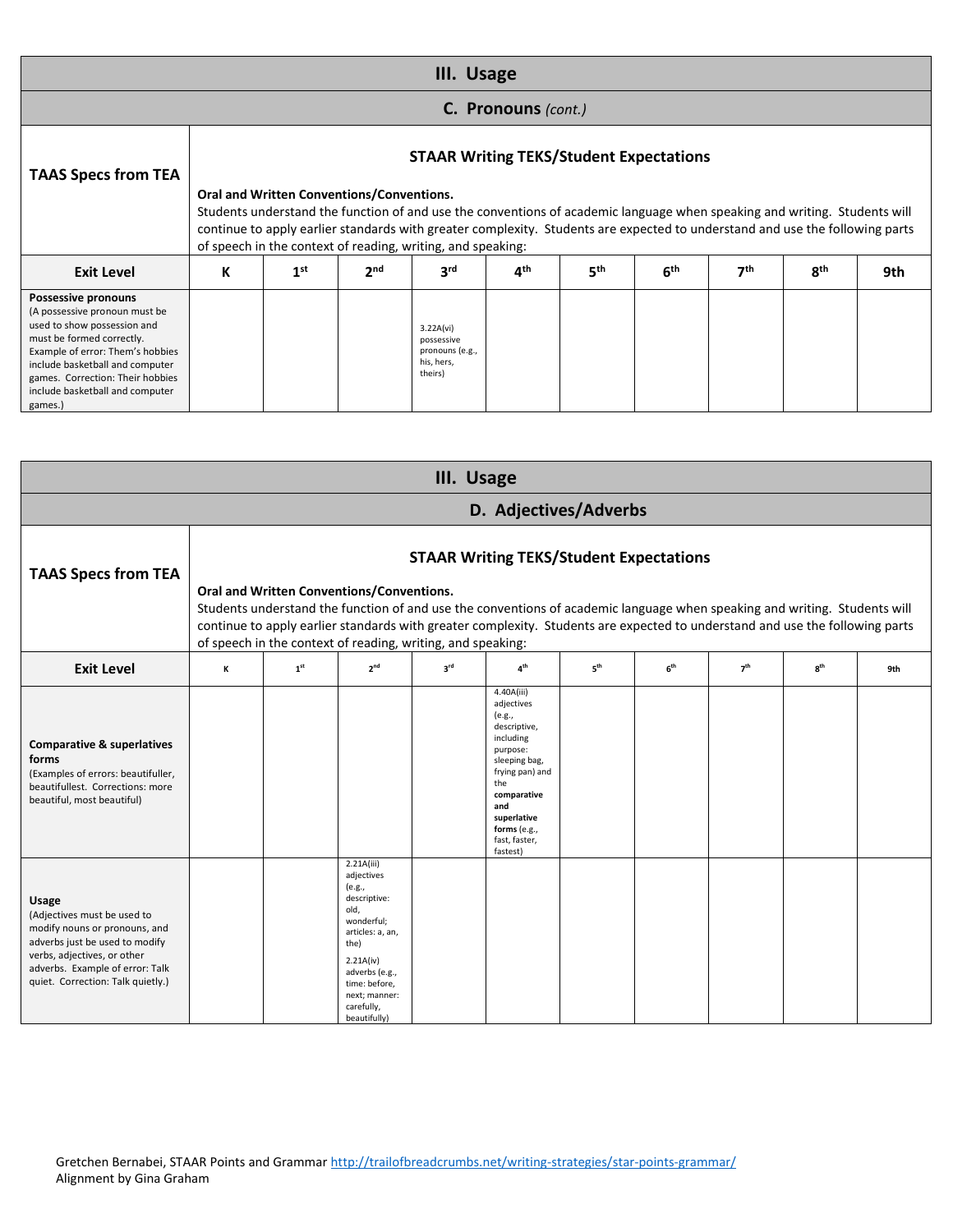|                                                                                                                                                                                                                                                                                  | III. Usage |                                           |                 |                                                                     |                     |                                                |                 |                 |                                                                                                                                                                                                                                                           |     |  |  |  |
|----------------------------------------------------------------------------------------------------------------------------------------------------------------------------------------------------------------------------------------------------------------------------------|------------|-------------------------------------------|-----------------|---------------------------------------------------------------------|---------------------|------------------------------------------------|-----------------|-----------------|-----------------------------------------------------------------------------------------------------------------------------------------------------------------------------------------------------------------------------------------------------------|-----|--|--|--|
|                                                                                                                                                                                                                                                                                  |            |                                           |                 |                                                                     | C. Pronouns (cont.) |                                                |                 |                 |                                                                                                                                                                                                                                                           |     |  |  |  |
| <b>TAAS Specs from TEA</b>                                                                                                                                                                                                                                                       |            | Oral and Written Conventions/Conventions. |                 | of speech in the context of reading, writing, and speaking:         |                     | <b>STAAR Writing TEKS/Student Expectations</b> |                 |                 | Students understand the function of and use the conventions of academic language when speaking and writing. Students will<br>continue to apply earlier standards with greater complexity. Students are expected to understand and use the following parts |     |  |  |  |
| <b>Exit Level</b>                                                                                                                                                                                                                                                                | К          | 1 <sup>st</sup>                           | 2 <sup>nd</sup> | 3 <sup>rd</sup>                                                     | 4 <sup>th</sup>     | 5 <sup>th</sup>                                | 6 <sup>th</sup> | 7 <sup>th</sup> | 8 <sup>th</sup>                                                                                                                                                                                                                                           | 9th |  |  |  |
| <b>Possessive pronouns</b><br>(A possessive pronoun must be<br>used to show possession and<br>must be formed correctly.<br>Example of error: Them's hobbies<br>include basketball and computer<br>games. Correction: Their hobbies<br>include basketball and computer<br>games.) |            |                                           |                 | 3.22A(vi)<br>possessive<br>pronouns (e.g.,<br>his, hers.<br>theirs) |                     |                                                |                 |                 |                                                                                                                                                                                                                                                           |     |  |  |  |

| III. Usage                                                                                                                                                                                                            |                                                                                                                                                                                                                                                                                                                                                                                                                         |                 |                                                                                                                                                                                                     |                 |                                                                                                                                                                                                          |                 |                 |                 |                 |     |  |
|-----------------------------------------------------------------------------------------------------------------------------------------------------------------------------------------------------------------------|-------------------------------------------------------------------------------------------------------------------------------------------------------------------------------------------------------------------------------------------------------------------------------------------------------------------------------------------------------------------------------------------------------------------------|-----------------|-----------------------------------------------------------------------------------------------------------------------------------------------------------------------------------------------------|-----------------|----------------------------------------------------------------------------------------------------------------------------------------------------------------------------------------------------------|-----------------|-----------------|-----------------|-----------------|-----|--|
| D. Adjectives/Adverbs                                                                                                                                                                                                 |                                                                                                                                                                                                                                                                                                                                                                                                                         |                 |                                                                                                                                                                                                     |                 |                                                                                                                                                                                                          |                 |                 |                 |                 |     |  |
| <b>TAAS Specs from TEA</b>                                                                                                                                                                                            | <b>STAAR Writing TEKS/Student Expectations</b><br>Oral and Written Conventions/Conventions.<br>Students understand the function of and use the conventions of academic language when speaking and writing. Students will<br>continue to apply earlier standards with greater complexity. Students are expected to understand and use the following parts<br>of speech in the context of reading, writing, and speaking: |                 |                                                                                                                                                                                                     |                 |                                                                                                                                                                                                          |                 |                 |                 |                 |     |  |
| <b>Exit Level</b>                                                                                                                                                                                                     | ĸ                                                                                                                                                                                                                                                                                                                                                                                                                       | 1 <sup>st</sup> | 2 <sup>nd</sup>                                                                                                                                                                                     | 3 <sup>rd</sup> | 4 <sup>th</sup>                                                                                                                                                                                          | 5 <sup>th</sup> | 6 <sup>th</sup> | 7 <sup>th</sup> | 8 <sup>th</sup> | 9th |  |
| <b>Comparative &amp; superlatives</b><br>forms<br>(Examples of errors: beautifuller,<br>beautifullest. Corrections: more<br>beautiful, most beautiful)                                                                |                                                                                                                                                                                                                                                                                                                                                                                                                         |                 |                                                                                                                                                                                                     |                 | 4.40A(iii)<br>adjectives<br>(e.g.,<br>descriptive,<br>including<br>purpose:<br>sleeping bag,<br>frying pan) and<br>the<br>comparative<br>and<br>superlative<br>forms (e.g.,<br>fast, faster,<br>fastest) |                 |                 |                 |                 |     |  |
| <b>Usage</b><br>(Adjectives must be used to<br>modify nouns or pronouns, and<br>adverbs just be used to modify<br>verbs, adjectives, or other<br>adverbs. Example of error: Talk<br>quiet. Correction: Talk quietly.) |                                                                                                                                                                                                                                                                                                                                                                                                                         |                 | 2.21A(iii)<br>adjectives<br>(e.g.,<br>descriptive:<br>old,<br>wonderful;<br>articles: a, an,<br>the)<br>2.21A(iv)<br>adverbs (e.g.,<br>time: before,<br>next; manner:<br>carefully,<br>beautifully) |                 |                                                                                                                                                                                                          |                 |                 |                 |                 |     |  |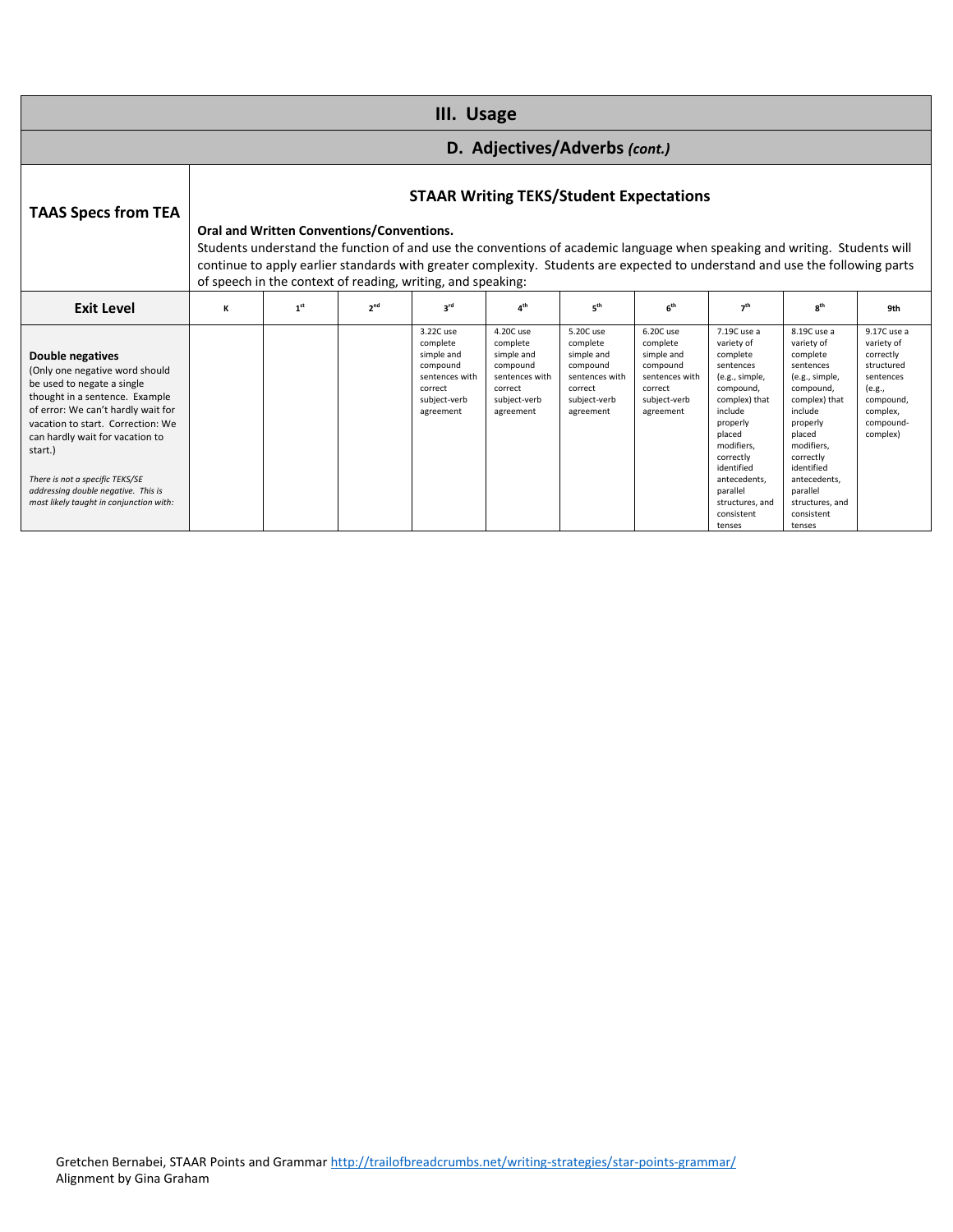| III. Usage                                                                                                                                                                                                                                                                                                                                                              |                                                                                                                                                                                                                                                                                                                                                                                                                                |                 |                 |                                                                                                           |                                                                                                           |                                                                                                           |                                                                                                           |                                                                                                                                                                                                                                                     |                                                                                                                                                                                                                                                     |                                                                                                                               |
|-------------------------------------------------------------------------------------------------------------------------------------------------------------------------------------------------------------------------------------------------------------------------------------------------------------------------------------------------------------------------|--------------------------------------------------------------------------------------------------------------------------------------------------------------------------------------------------------------------------------------------------------------------------------------------------------------------------------------------------------------------------------------------------------------------------------|-----------------|-----------------|-----------------------------------------------------------------------------------------------------------|-----------------------------------------------------------------------------------------------------------|-----------------------------------------------------------------------------------------------------------|-----------------------------------------------------------------------------------------------------------|-----------------------------------------------------------------------------------------------------------------------------------------------------------------------------------------------------------------------------------------------------|-----------------------------------------------------------------------------------------------------------------------------------------------------------------------------------------------------------------------------------------------------|-------------------------------------------------------------------------------------------------------------------------------|
| D. Adjectives/Adverbs (cont.)                                                                                                                                                                                                                                                                                                                                           |                                                                                                                                                                                                                                                                                                                                                                                                                                |                 |                 |                                                                                                           |                                                                                                           |                                                                                                           |                                                                                                           |                                                                                                                                                                                                                                                     |                                                                                                                                                                                                                                                     |                                                                                                                               |
| <b>TAAS Specs from TEA</b>                                                                                                                                                                                                                                                                                                                                              | <b>STAAR Writing TEKS/Student Expectations</b><br><b>Oral and Written Conventions/Conventions.</b><br>Students understand the function of and use the conventions of academic language when speaking and writing. Students will<br>continue to apply earlier standards with greater complexity. Students are expected to understand and use the following parts<br>of speech in the context of reading, writing, and speaking: |                 |                 |                                                                                                           |                                                                                                           |                                                                                                           |                                                                                                           |                                                                                                                                                                                                                                                     |                                                                                                                                                                                                                                                     |                                                                                                                               |
| <b>Exit Level</b>                                                                                                                                                                                                                                                                                                                                                       | К                                                                                                                                                                                                                                                                                                                                                                                                                              | 1 <sup>st</sup> | 2 <sup>nd</sup> | $3^{\text{rd}}$                                                                                           | 4 <sup>th</sup>                                                                                           | 5 <sup>th</sup>                                                                                           | f <sub>th</sub>                                                                                           | 7 <sup>th</sup>                                                                                                                                                                                                                                     | $R^{th}$                                                                                                                                                                                                                                            | 9th                                                                                                                           |
| <b>Double negatives</b><br>(Only one negative word should<br>be used to negate a single<br>thought in a sentence. Example<br>of error: We can't hardly wait for<br>vacation to start. Correction: We<br>can hardly wait for vacation to<br>start.)<br>There is not a specific TEKS/SE<br>addressing double negative. This is<br>most likely taught in conjunction with: |                                                                                                                                                                                                                                                                                                                                                                                                                                |                 |                 | 3.22C use<br>complete<br>simple and<br>compound<br>sentences with<br>correct<br>subject-verb<br>agreement | 4.20C use<br>complete<br>simple and<br>compound<br>sentences with<br>correct<br>subject-verb<br>agreement | 5.20C use<br>complete<br>simple and<br>compound<br>sentences with<br>correct<br>subject-verb<br>agreement | 6.20C use<br>complete<br>simple and<br>compound<br>sentences with<br>correct<br>subject-verb<br>agreement | 7.19C use a<br>variety of<br>complete<br>sentences<br>(e.g., simple,<br>compound,<br>complex) that<br>include<br>properly<br>placed<br>modifiers.<br>correctly<br>identified<br>antecedents.<br>parallel<br>structures, and<br>consistent<br>tenses | 8.19C use a<br>variety of<br>complete<br>sentences<br>(e.g., simple,<br>compound,<br>complex) that<br>include<br>properly<br>placed<br>modifiers.<br>correctly<br>identified<br>antecedents.<br>parallel<br>structures, and<br>consistent<br>tenses | 9.17C use a<br>variety of<br>correctly<br>structured<br>sentences<br>(e.g.,<br>compound,<br>complex,<br>compound-<br>complex) |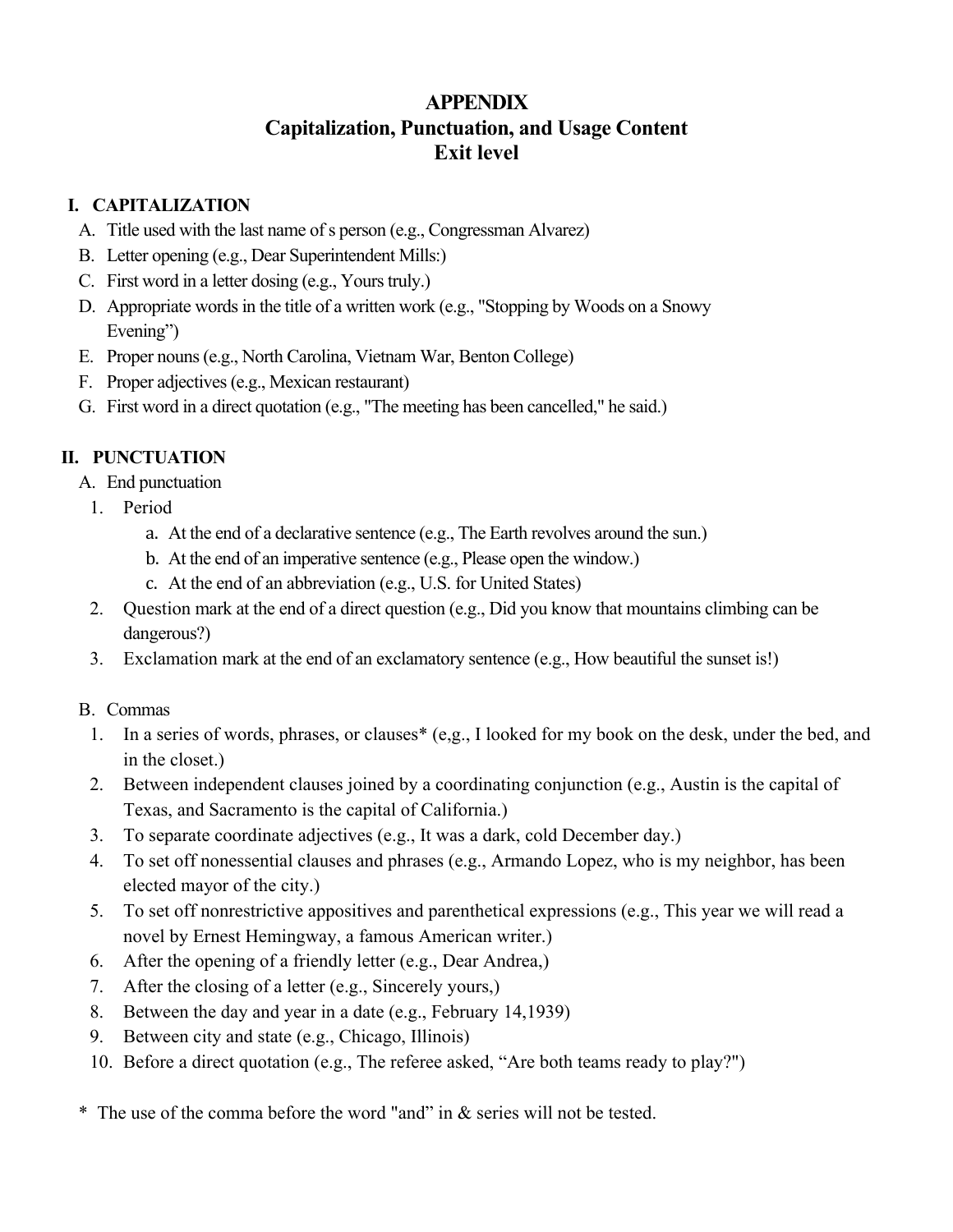# **APPENDIX Capitalization, Punctuation, and Usage Content Exit level**

### **I. CAPITALIZATION**

- A. Title used with the last name of s person (e.g., Congressman Alvarez)
- B. Letter opening (e.g., Dear Superintendent Mills:)
- C. First word in a letter dosing (e.g., Yours truly.)
- D. Appropriate words in the title of a written work (e.g., "Stopping by Woods on a Snowy Evening")
- E. Proper nouns (e.g., North Carolina, Vietnam War, Benton College)
- F. Proper adjectives (e.g., Mexican restaurant)
- G. First word in a direct quotation (e.g., "The meeting has been cancelled," he said.)

## **II. PUNCTUATION**

- A. End punctuation
	- 1. Period
		- a. At the end of a declarative sentence (e.g., The Earth revolves around the sun.)
		- b. At the end of an imperative sentence (e.g., Please open the window.)
		- c. At the end of an abbreviation (e.g., U.S. for United States)
	- 2. Question mark at the end of a direct question (e.g., Did you know that mountains climbing can be dangerous?)
	- 3. Exclamation mark at the end of an exclamatory sentence (e.g., How beautiful the sunset is!)
- B. Commas
	- 1. In a series of words, phrases, or clauses\* (e,g., I looked for my book on the desk, under the bed, and in the closet.)
	- 2. Between independent clauses joined by a coordinating conjunction (e.g., Austin is the capital of Texas, and Sacramento is the capital of California.)
	- 3. To separate coordinate adjectives (e.g., It was a dark, cold December day.)
	- 4. To set off nonessential clauses and phrases (e.g., Armando Lopez, who is my neighbor, has been elected mayor of the city.)
	- 5. To set off nonrestrictive appositives and parenthetical expressions (e.g., This year we will read a novel by Ernest Hemingway, a famous American writer.)
	- 6. After the opening of a friendly letter (e.g., Dear Andrea,)
	- 7. After the closing of a letter (e.g., Sincerely yours,)
	- 8. Between the day and year in a date (e.g., February 14,1939)
	- 9. Between city and state (e.g., Chicago, Illinois)
	- 10. Before a direct quotation (e.g., The referee asked, "Are both teams ready to play?")

\* The use of the comma before the word "and" in & series will not be tested.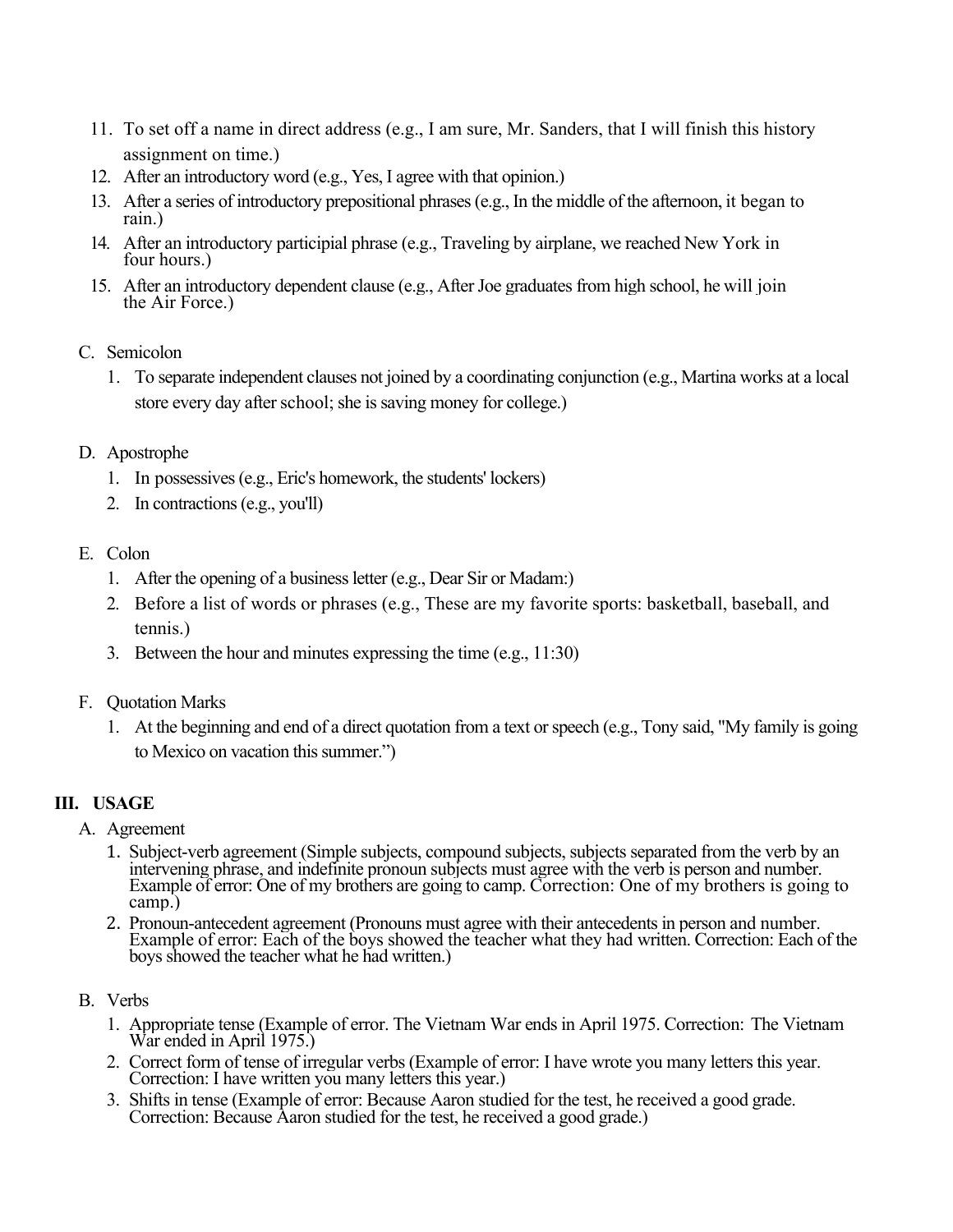- 11. To set off a name in direct address (e.g., I am sure, Mr. Sanders, that I will finish this history assignment on time.)
- 12. After an introductory word (e.g., Yes, I agree with that opinion.)
- 13. After a series of introductory prepositional phrases (e.g., In the middle of the afternoon, it began to rain.)
- 14. After an introductory participial phrase (e.g., Traveling by airplane, we reached New York in four hours.)
- 15. After an introductory dependent clause (e.g., After Joe graduates from high school, he will join the Air Force.)
- C. Semicolon
	- 1. To separate independent clauses not joined by a coordinating conjunction (e.g., Martina works at a local store every day after school; she is saving money for college.)
- D. Apostrophe
	- 1. In possessives (e.g., Eric's homework, the students' lockers)
	- 2. In contractions (e.g., you'll)
- E. Colon
	- 1. After the opening of a business letter (e.g., Dear Sir or Madam:)
	- 2. Before a list of words or phrases (e.g., These are my favorite sports: basketball, baseball, and tennis.)
	- 3. Between the hour and minutes expressing the time (e.g., 11:30)
- F. Quotation Marks
	- 1. At the beginning and end of a direct quotation from a text or speech (e.g., Tony said, "My family is going to Mexico on vacation this summer.")

### **III. USAGE**

- A. Agreement
	- 1. Subject-verb agreement (Simple subjects, compound subjects, subjects separated from the verb by an Example of error: One of my brothers are going to camp. Correction: One of my brothers is going to camp.)
	- 2. Pronoun-antecedent agreement (Pronouns must agree with their antecedents in person and number. Example of error: Each of the boys showed the teacher what they had written. Correction: Each of the boys showed the teacher what he had written.)

#### B. Verbs

- 1. Appropriate tense (Example of error. The Vietnam War ends in April 1975. Correction: The Vietnam War ended in April 1975.)
- 2. Correct form of tense of irregular verbs (Example of error: I have wrote you many letters this year. Correction: I have written you many letters this year.)
- 3. Shifts in tense (Example of error: Because Aaron studied for the test, he received a good grade. Correction: Because Aaron studied for the test, he received a good grade.)